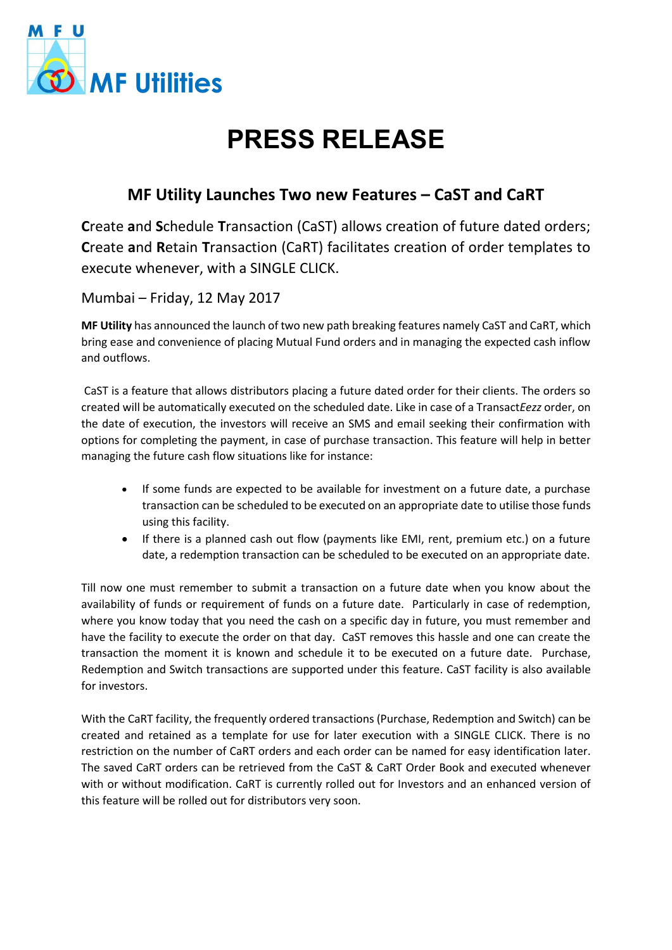

## **PRESS RELEASE**

## **MF Utility Launches Two new Features – CaST and CaRT**

**C**reate **a**nd **S**chedule **T**ransaction (CaST) allows creation of future dated orders; **C**reate **a**nd **R**etain **T**ransaction (CaRT) facilitates creation of order templates to execute whenever, with a SINGLE CLICK.

Mumbai – Friday, 12 May 2017

**MF Utility** has announced the launch of two new path breaking features namely CaST and CaRT, which bring ease and convenience of placing Mutual Fund orders and in managing the expected cash inflow and outflows.

CaST is a feature that allows distributors placing a future dated order for their clients. The orders so created will be automatically executed on the scheduled date. Like in case of a Transact*Eezz* order, on the date of execution, the investors will receive an SMS and email seeking their confirmation with options for completing the payment, in case of purchase transaction. This feature will help in better managing the future cash flow situations like for instance:

- If some funds are expected to be available for investment on a future date, a purchase transaction can be scheduled to be executed on an appropriate date to utilise those funds using this facility.
- If there is a planned cash out flow (payments like EMI, rent, premium etc.) on a future date, a redemption transaction can be scheduled to be executed on an appropriate date.

Till now one must remember to submit a transaction on a future date when you know about the availability of funds or requirement of funds on a future date. Particularly in case of redemption, where you know today that you need the cash on a specific day in future, you must remember and have the facility to execute the order on that day. CaST removes this hassle and one can create the transaction the moment it is known and schedule it to be executed on a future date. Purchase, Redemption and Switch transactions are supported under this feature. CaST facility is also available for investors.

With the CaRT facility, the frequently ordered transactions (Purchase, Redemption and Switch) can be created and retained as a template for use for later execution with a SINGLE CLICK. There is no restriction on the number of CaRT orders and each order can be named for easy identification later. The saved CaRT orders can be retrieved from the CaST & CaRT Order Book and executed whenever with or without modification. CaRT is currently rolled out for Investors and an enhanced version of this feature will be rolled out for distributors very soon.